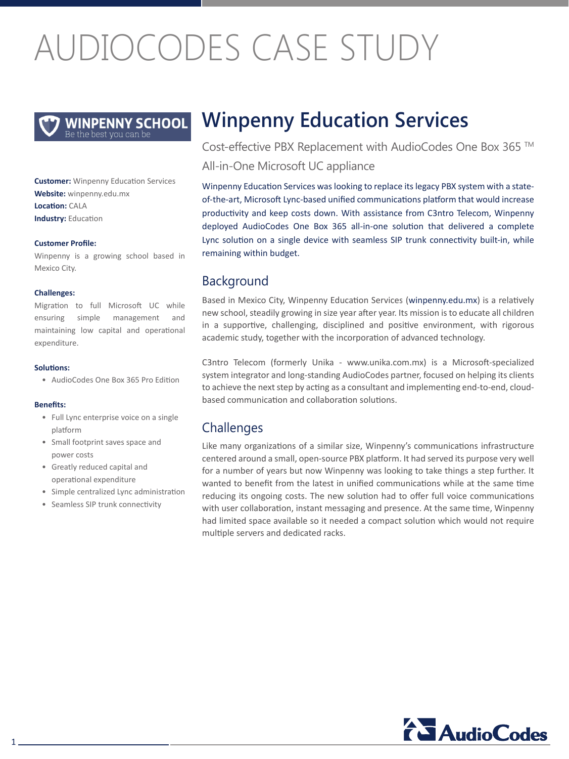# AUDIOCODES CASE STUDY

**WINPENNY SCHOOL** 

**Customer:** Winpenny Education Services **Website:** winpenny.edu.mx **Location:** CALA **Industry: Education** 

#### **Customer Profile:**

Winpenny is a growing school based in Mexico City.

#### **:Challenges**

Migration to full Microsoft UC while ensuring simple management and maintaining low capital and operational .expenditure

#### **:Solutions**

• AudioCodes One Box 365 Pro Edition

#### **:Benefits**

- Full Lync enterprise voice on a single platform
- Small footprint saves space and power costs
- Greatly reduced capital and operational expenditure
- Simple centralized Lync administration
- Seamless SIP trunk connectivity

## **Winpenny Education Services**

Cost-effective PBX Replacement with AudioCodes One Box 365 ™ All-in-One Microsoft UC appliance

of-the-art, Microsoft Lync-based unified communications platform that would increase Winpenny Education Services was looking to replace its legacy PBX system with a stateproductivity and keep costs down. With assistance from C3ntro Telecom, Winpenny deployed AudioCodes One Box 365 all-in-one solution that delivered a complete Lync solution on a single device with seamless SIP trunk connectivity built-in, while remaining within budget.

## **Background**

Based in Mexico City, Winpenny Education Services (winpenny edu.mx) is a relatively new school, steadily growing in size year after year. Its mission is to educate all children in a supportive, challenging, disciplined and positive environment, with rigorous academic study, together with the incorporation of advanced technology.

C3ntro Telecom (formerly Unika - www.unika.com.mx) is a Microsoft-specialized system integrator and long-standing AudioCodes partner, focused on helping its clients to achieve the next step by acting as a consultant and implementing end-to-end, cloud-<br>based communication and collaboration solutions.

## **Challenges**

Like many organizations of a similar size, Winpenny's communications infrastructure centered around a small, open-source PBX platform. It had served its purpose very well for a number of years but now Winpenny was looking to take things a step further. It wanted to benefit from the latest in unified communications while at the same time reducing its ongoing costs. The new solution had to offer full voice communications with user collaboration, instant messaging and presence. At the same time, Winpenny had limited space available so it needed a compact solution which would not require multiple servers and dedicated racks.

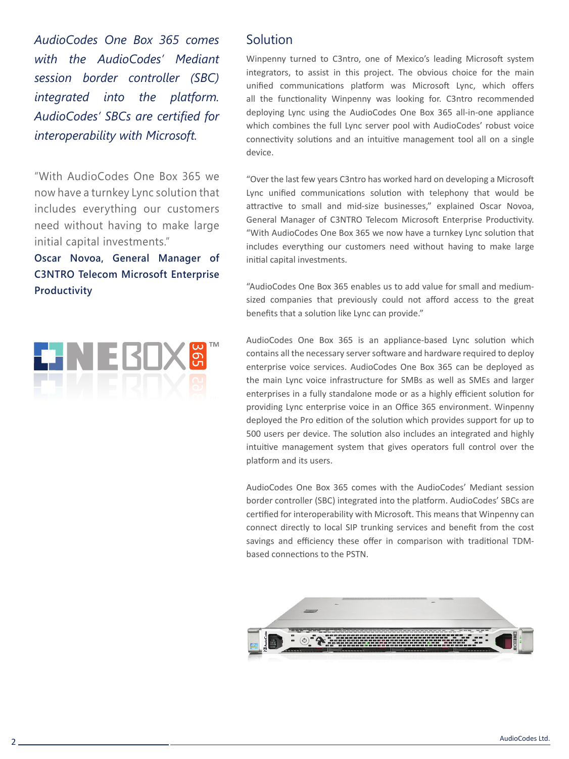AudioCodes One Box 365 comes with the AudioCodes' Mediant **session** border controller (SBC) *integrated into the platform.* **AudioCodes' SBCs are certified for** *interoperability with Microsoft.* 

"With AudioCodes One Box 365 we now have a turnkey Lync solution that includes everything our customers need without having to make large initial capital investments."

## **Oscar Novoa, General Manager of C3NTRO Telecom Microsoft Enterprise Productivity**



## Solution

Winpenny turned to C3ntro, one of Mexico's leading Microsoft system integrators, to assist in this project. The obvious choice for the main unified communications platform was Microsoft Lync, which offers all the functionality Winpenny was looking for. C3ntro recommended deploying Lync using the AudioCodes One Box 365 all-in-one appliance which combines the full Lync server pool with AudioCodes' robust voice connectivity solutions and an intuitive management tool all on a single device.

"Over the last few years C3ntro has worked hard on developing a Microsoft Lync unified communications solution with telephony that would be attractive to small and mid-size businesses," explained Oscar Novoa, General Manager of C3NTRO Telecom Microsoft Enterprise Productivity. "With AudioCodes One Box 365 we now have a turnkey Lync solution that includes everything our customers need without having to make large initial capital investments.

sized companies that previously could not afford access to the great "AudioCodes One Box 365 enables us to add value for small and mediumbenefits that a solution like Lync can provide."

AudioCodes One Box 365 is an appliance-based Lync solution which contains all the necessary server software and hardware required to deploy enterprise voice services. AudioCodes One Box 365 can be deployed as the main Lync voice infrastructure for SMBs as well as SMEs and larger enterprises in a fully standalone mode or as a highly efficient solution for providing Lync enterprise voice in an Office 365 environment. Winpenny deployed the Pro edition of the solution which provides support for up to 500 users per device. The solution also includes an integrated and highly intuitive management system that gives operators full control over the platform and its users.

AudioCodes One Box 365 comes with the AudioCodes' Mediant session border controller (SBC) integrated into the platform. AudioCodes' SBCs are certified for interoperability with Microsoft. This means that Winpenny can connect directly to local SIP trunking services and benefit from the cost savings and efficiency these offer in comparison with traditional TDM-<br>based connections to the PSTN.